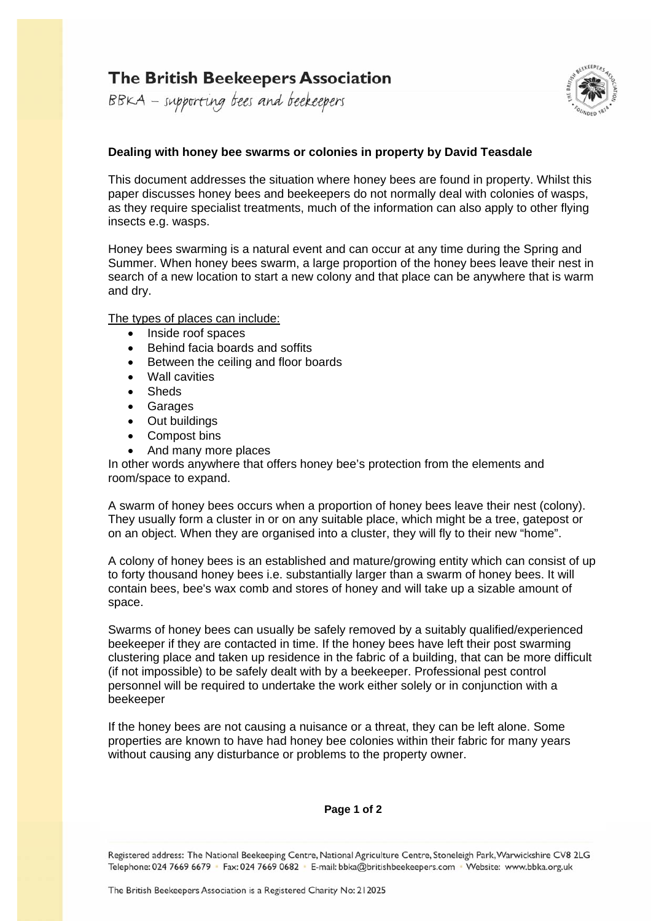# **The British Beekeepers Association**

BBKA - supporting bees and beekeepers



### **Dealing with honey bee swarms or colonies in property by David Teasdale**

This document addresses the situation where honey bees are found in property. Whilst this paper discusses honey bees and beekeepers do not normally deal with colonies of wasps, as they require specialist treatments, much of the information can also apply to other flying insects e.g. wasps.

Honey bees swarming is a natural event and can occur at any time during the Spring and Summer. When honey bees swarm, a large proportion of the honey bees leave their nest in search of a new location to start a new colony and that place can be anywhere that is warm and dry.

#### The types of places can include:

- Inside roof spaces
- Behind facia boards and soffits
- Between the ceiling and floor boards
- Wall cavities
- Sheds
- **Garages**
- Out buildings
- Compost bins
- And many more places

In other words anywhere that offers honey bee's protection from the elements and room/space to expand.

A swarm of honey bees occurs when a proportion of honey bees leave their nest (colony). They usually form a cluster in or on any suitable place, which might be a tree, gatepost or on an object. When they are organised into a cluster, they will fly to their new "home".

A colony of honey bees is an established and mature/growing entity which can consist of up to forty thousand honey bees i.e. substantially larger than a swarm of honey bees. It will contain bees, bee's wax comb and stores of honey and will take up a sizable amount of space.

Swarms of honey bees can usually be safely removed by a suitably qualified/experienced beekeeper if they are contacted in time. If the honey bees have left their post swarming clustering place and taken up residence in the fabric of a building, that can be more difficult (if not impossible) to be safely dealt with by a beekeeper. Professional pest control personnel will be required to undertake the work either solely or in conjunction with a beekeeper

If the honey bees are not causing a nuisance or a threat, they can be left alone. Some properties are known to have had honey bee colonies within their fabric for many years without causing any disturbance or problems to the property owner.

#### **Page 1 of 2**

Registered address: The National Beekeeping Centre, National Agriculture Centre, Stoneleigh Park, Warwickshire CV8 2LG Telephone: 024 7669 6679 Fax: 024 7669 0682 E-mail: bbka@britishbeekeepers.com Website: www.bbka.org.uk